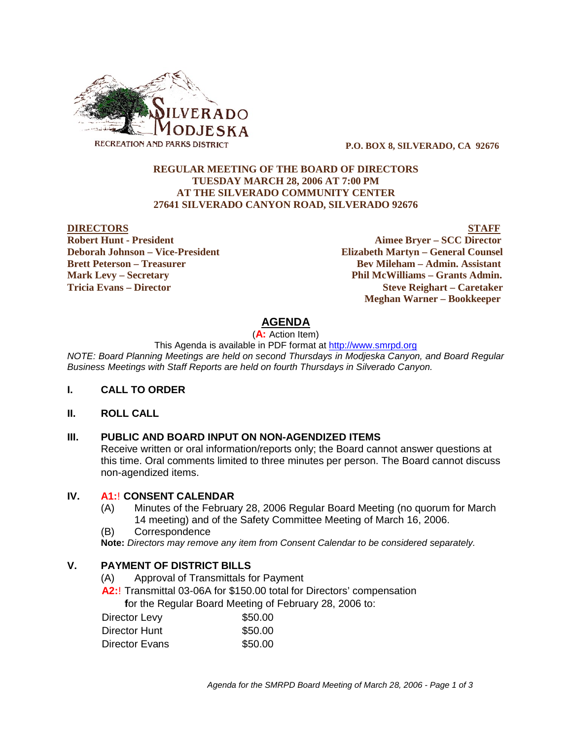

 **P.O. BOX 8, SILVERADO, CA 92676**

### **REGULAR MEETING OF THE BOARD OF DIRECTORS TUESDAY MARCH 28, 2006 AT 7:00 PM AT THE SILVERADO COMMUNITY CENTER 27641 SILVERADO CANYON ROAD, SILVERADO 92676**

#### **DIRECTORS STAFF**

**Robert Hunt - President Aimee Bryer – SCC Director Deborah Johnson – Vice-President Elizabeth Martyn – General Counsel Brett Peterson – Treasurer Serverson – Bev Mileham – Admin. Assistant Mark Levy – Secretary Phil McWilliams – Grants Admin. Tricia Evans – Director Steve Reighart – Caretaker Meghan Warner – Bookkeeper**

# **AGENDA**

(**A:** Action Item)

This Agenda is available in PDF format at http://www.smrpd.org

*NOTE: Board Planning Meetings are held on second Thursdays in Modjeska Canyon, and Board Regular Business Meetings with Staff Reports are held on fourth Thursdays in Silverado Canyon.*

#### **I. CALL TO ORDER**

#### **II. ROLL CALL**

### **III. PUBLIC AND BOARD INPUT ON NON-AGENDIZED ITEMS**

Receive written or oral information/reports only; the Board cannot answer questions at this time. Oral comments limited to three minutes per person. The Board cannot discuss non-agendized items.

#### **IV. A1:**! **CONSENT CALENDAR**

- (A) Minutes of the February 28, 2006 Regular Board Meeting (no quorum for March 14 meeting) and of the Safety Committee Meeting of March 16, 2006.
- (B) Correspondence

**Note:** *Directors may remove any item from Consent Calendar to be considered separately.*

## **V. PAYMENT OF DISTRICT BILLS**

- (A) Approval of Transmittals for Payment
- **A2:**! Transmittal 03-06A for \$150.00 total for Directors' compensation

 **f**or the Regular Board Meeting of February 28, 2006 to:

| Director Levy  | \$50.00 |
|----------------|---------|
| Director Hunt  | \$50.00 |
| Director Evans | \$50.00 |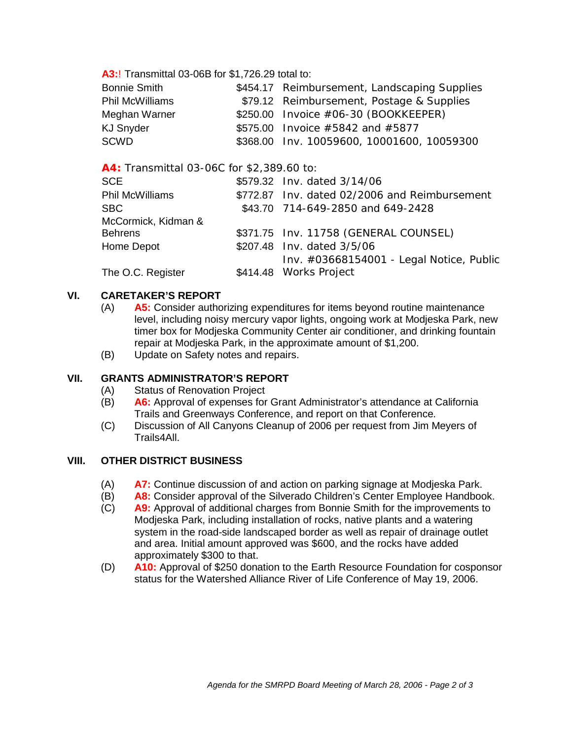**A3:**! Transmittal 03-06B for \$1,726.29 total to:

| <b>Bonnie Smith</b>    | \$454.17 Reimbursement, Landscaping Supplies |
|------------------------|----------------------------------------------|
| <b>Phil McWilliams</b> | \$79.12 Reimbursement, Postage & Supplies    |
| Meghan Warner          | $$250.00$ Invoice $#06-30$ (BOOKKEEPER)      |
| <b>KJ Snyder</b>       | \$575.00 Invoice $\#5842$ and $\#5877$       |
| <b>SCWD</b>            | \$368.00 Inv. 10059600, 10001600, 10059300   |

### **A4:** Transmittal 03-06C for \$2,389.60 to:

| <b>SCE</b>          | \$579.32 Inv. dated 3/14/06                   |
|---------------------|-----------------------------------------------|
| Phil McWilliams     | \$772.87 Inv. dated 02/2006 and Reimbursement |
| SBC.                | \$43.70 714-649-2850 and 649-2428             |
| McCormick, Kidman & |                                               |
| <b>Behrens</b>      | \$371.75 Inv. 11758 (GENERAL COUNSEL)         |
| Home Depot          | \$207.48 Inv. dated 3/5/06                    |
|                     | Inv. #03668154001 - Legal Notice, Public      |
| The O.C. Register   | \$414.48 Works Project                        |

## **VI. CARETAKER'S REPORT**

- (A) **A5:** Consider authorizing expenditures for items beyond routine maintenance level, including noisy mercury vapor lights, ongoing work at Modjeska Park, new timer box for Modjeska Community Center air conditioner, and drinking fountain repair at Modjeska Park, in the approximate amount of \$1,200.
- (B) Update on Safety notes and repairs.

## **VII. GRANTS ADMINISTRATOR'S REPORT**

- (A) Status of Renovation Project
- (B) **A6:** Approval of expenses for Grant Administrator's attendance at California Trails and Greenways Conference, and report on that Conference.
- (C) Discussion of All Canyons Cleanup of 2006 per request from Jim Meyers of Trails4All.

### **VIII. OTHER DISTRICT BUSINESS**

- (A) **A7:** Continue discussion of and action on parking signage at Modjeska Park.
- (B) **A8:** Consider approval of the Silverado Children's Center Employee Handbook.
- (C) **A9:** Approval of additional charges from Bonnie Smith for the improvements to Modjeska Park, including installation of rocks, native plants and a watering system in the road-side landscaped border as well as repair of drainage outlet and area. Initial amount approved was \$600, and the rocks have added approximately \$300 to that.
- (D) **A10:** Approval of \$250 donation to the Earth Resource Foundation for cosponsor status for the Watershed Alliance River of Life Conference of May 19, 2006.